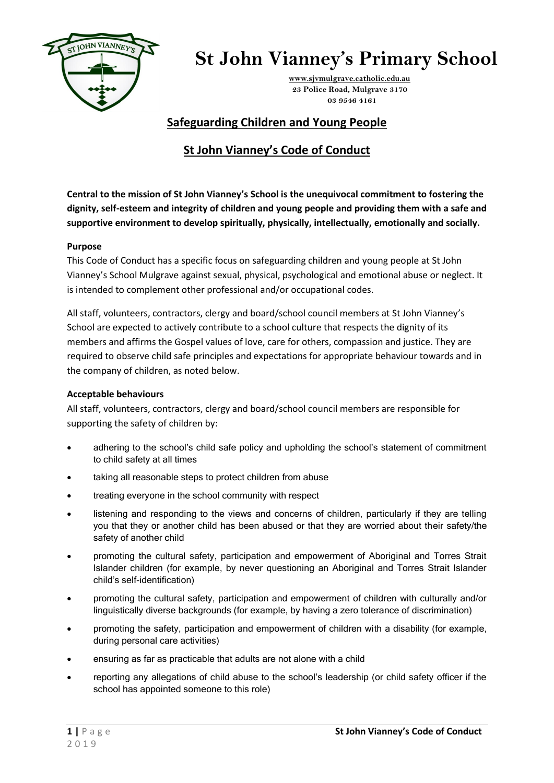

## **St John Vianney's Primary School**

 **[www.sjvmulgrave.catholic.edu.au](http://www.sjvmulgrave.catholic.edu.au/) 23 Police Road, Mulgrave 3170 03 9546 4161**

### **Safeguarding Children and Young People**

### **St John Vianney's Code of Conduct**

**Central to the mission of St John Vianney's School is the unequivocal commitment to fostering the dignity, self-esteem and integrity of children and young people and providing them with a safe and supportive environment to develop spiritually, physically, intellectually, emotionally and socially.** 

#### **Purpose**

This Code of Conduct has a specific focus on safeguarding children and young people at St John Vianney's School Mulgrave against sexual, physical, psychological and emotional abuse or neglect. It is intended to complement other professional and/or occupational codes.

All staff, volunteers, contractors, clergy and board/school council members at St John Vianney's School are expected to actively contribute to a school culture that respects the dignity of its members and affirms the Gospel values of love, care for others, compassion and justice. They are required to observe child safe principles and expectations for appropriate behaviour towards and in the company of children, as noted below.

#### **Acceptable behaviours**

All staff, volunteers, contractors, clergy and board/school council members are responsible for supporting the safety of children by:

- adhering to the school's child safe policy and upholding the school's statement of commitment to child safety at all times
- taking all reasonable steps to protect children from abuse
- treating everyone in the school community with respect
- listening and responding to the views and concerns of children, particularly if they are telling you that they or another child has been abused or that they are worried about their safety/the safety of another child
- promoting the cultural safety, participation and empowerment of Aboriginal and Torres Strait Islander children (for example, by never questioning an Aboriginal and Torres Strait Islander child's self-identification)
- promoting the cultural safety, participation and empowerment of children with culturally and/or linguistically diverse backgrounds (for example, by having a zero tolerance of discrimination)
- promoting the safety, participation and empowerment of children with a disability (for example, during personal care activities)
- ensuring as far as practicable that adults are not alone with a child
- reporting any allegations of child abuse to the school's leadership (or child safety officer if the school has appointed someone to this role)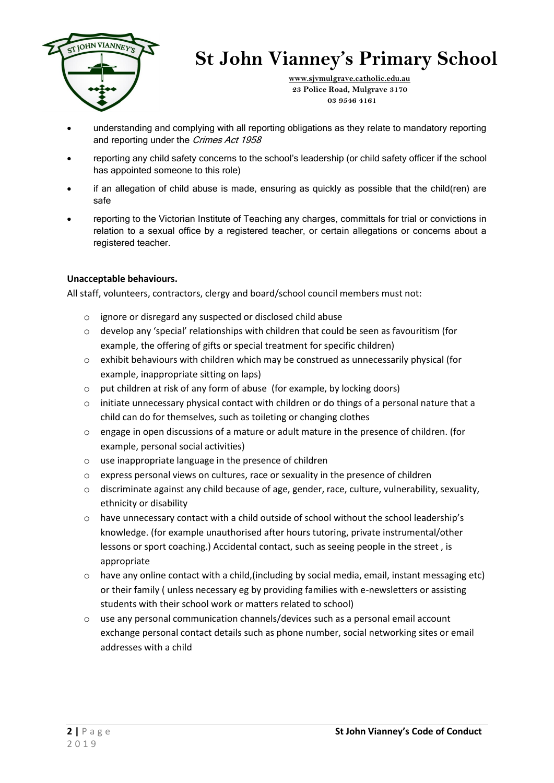

## **St John Vianney's Primary School**

 **[www.sjvmulgrave.catholic.edu.au](http://www.sjvmulgrave.catholic.edu.au/) 23 Police Road, Mulgrave 3170 03 9546 4161**

- understanding and complying with all reporting obligations as they relate to mandatory reporting and reporting under the Crimes Act 1958
- **•** reporting any child safety concerns to the school's leadership (or child safety officer if the school has appointed someone to this role)
- **•** if an allegation of child abuse is made, ensuring as quickly as possible that the child(ren) are safe
- reporting to the Victorian Institute of Teaching any charges, committals for trial or convictions in relation to a sexual office by a registered teacher, or certain allegations or concerns about a registered teacher.

#### **Unacceptable behaviours.**

All staff, volunteers, contractors, clergy and board/school council members must not:

- o ignore or disregard any suspected or disclosed child abuse
- o develop any 'special' relationships with children that could be seen as favouritism (for example, the offering of gifts or special treatment for specific children)
- $\circ$  exhibit behaviours with children which may be construed as unnecessarily physical (for example, inappropriate sitting on laps)
- o put children at risk of any form of abuse (for example, by locking doors)
- $\circ$  initiate unnecessary physical contact with children or do things of a personal nature that a child can do for themselves, such as toileting or changing clothes
- o engage in open discussions of a mature or adult mature in the presence of children. (for example, personal social activities)
- o use inappropriate language in the presence of children
- o express personal views on cultures, race or sexuality in the presence of children
- $\circ$  discriminate against any child because of age, gender, race, culture, vulnerability, sexuality, ethnicity or disability
- o have unnecessary contact with a child outside of school without the school leadership's knowledge. (for example unauthorised after hours tutoring, private instrumental/other lessons or sport coaching.) Accidental contact, such as seeing people in the street , is appropriate
- o have any online contact with a child,(including by social media, email, instant messaging etc) or their family ( unless necessary eg by providing families with e-newsletters or assisting students with their school work or matters related to school)
- $\circ$  use any personal communication channels/devices such as a personal email account exchange personal contact details such as phone number, social networking sites or email addresses with a child